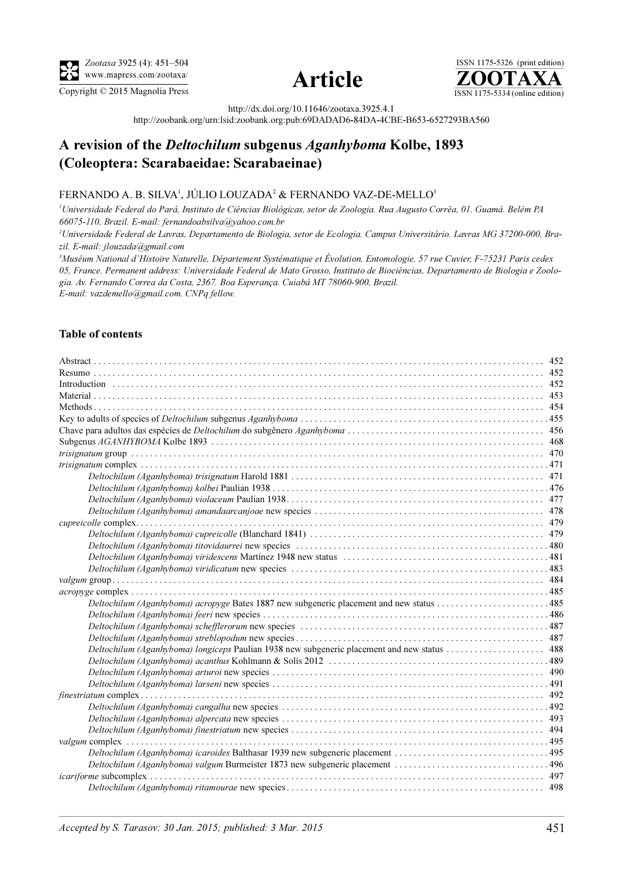





http://dx.doi.org/10.11646/zootaxa.3925.4.1

http://zoobank.org/urn:lsid:zoobank.org:pub:69DADAD6-84DA-4CBE-B653-6527293BA560

# A revision of the Deltochilum subgenus Aganhyboma Kolbe, 1893 (Coleoptera: Scarabaeidae: Scarabaeinae)

# FERNANDO A. B. SILVA<sup>1</sup>, JÚLIO LOUZADA<sup>2</sup> & FERNANDO VAZ-DE-MELLO<sup>3</sup>

<sup>1</sup>Universidade Federal do Pará, Instituto de Ciências Biológicas, setor de Zoologia. Rua Augusto Corrêa, 01. Guamá. Belém PA 66075-110, Brazil. E-mail: fernandoabsilva@yahoo.com.br

2 Universidade Federal de Lavras, Departamento de Biologia, setor de Ecologia. Campus Universitário. Lavras MG 37200-000, Brazil. E-mail: jlouzada@gmail.com

<sup>3</sup>Muséum National d'Histoire Naturelle, Département Systématique et Évolution, Entomologie, 57 rue Cuvier, F-75231 Paris cedex 05, France. Permanent address: Universidade Federal de Mato Grosso, Instituto de Biociências, Departamento de Biologia e Zoologia. Av. Fernando Correa da Costa, 2367. Boa Esperança. Cuiabá MT 78060-900, Brazil. E-mail: vazdemello@gmail.com. CNPq fellow.

## Table of contents

| Deltochilum (Aganhyboma) acropyge Bates 1887 new subgeneric placement and new status 485 |  |
|------------------------------------------------------------------------------------------|--|
|                                                                                          |  |
|                                                                                          |  |
|                                                                                          |  |
|                                                                                          |  |
|                                                                                          |  |
|                                                                                          |  |
|                                                                                          |  |
|                                                                                          |  |
|                                                                                          |  |
|                                                                                          |  |
|                                                                                          |  |
|                                                                                          |  |
| Deltochilum (Aganhyboma) icaroides Balthasar 1939 new subgeneric placement 495           |  |
|                                                                                          |  |
|                                                                                          |  |
|                                                                                          |  |
|                                                                                          |  |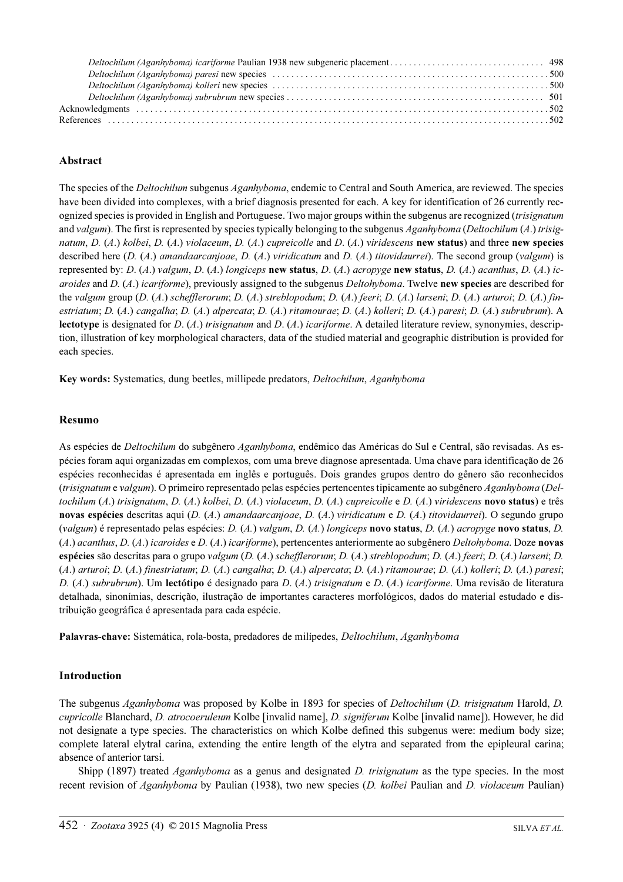# Abstract

The species of the *Deltochilum* subgenus Aganhyboma, endemic to Central and South America, are reviewed. The species have been divided into complexes, with a brief diagnosis presented for each. A key for identification of 26 currently recognized species is provided in English and Portuguese. Two major groups within the subgenus are recognized (trisignatum and valgum). The first is represented by species typically belonging to the subgenus Aganhyboma (Deltochilum  $(A)$ ) trisignatum, D.  $(A)$  kolbei, D.  $(A)$  violaceum, D.  $(A)$  cupreicolle and D.  $(A)$  viridescens new status) and three new species described here  $(D. (A.)$  amandaarcanjoae,  $D. (A.)$  viridicatum and  $D. (A.)$  titovidaurrei). The second group (valgum) is represented by: D.  $(A)$  valgum, D.  $(A)$  longiceps new status, D.  $(A)$  acropyge new status, D.  $(A)$  acanthus, D.  $(A)$  icaroides and D. (A.) icariforme), previously assigned to the subgenus Deltohyboma. Twelve new species are described for the valgum group (D. (A.) schefflerorum; D. (A.) streblopodum; D. (A.) feeri; D. (A.) larseni; D. (A.) arturoi; D. (A.) finestriatum; D. (A.) cangalha; D. (A.) alpercata; D. (A.) ritamourae; D. (A.) kolleri; D. (A.) paresi; D. (A.) subrubrum). A lectotype is designated for  $D$ . (A.) trisignatum and  $D$ . (A.) icariforme. A detailed literature review, synonymies, description, illustration of key morphological characters, data of the studied material and geographic distribution is provided for each species.

Key words: Systematics, dung beetles, millipede predators, Deltochilum, Aganhyboma

#### <span id="page-1-0"></span>Resumo

As espécies de *Deltochilum* do subgênero Aganhyboma, endêmico das Américas do Sul e Central, são revisadas. As espécies foram aqui organizadas em complexos, com uma breve diagnose apresentada. Uma chave para identificação de 26 espécies reconhecidas é apresentada em inglês e português. Dois grandes grupos dentro do gênero são reconhecidos (trisignatum e valgum). O primeiro representado pelas espécies pertencentes tipicamente ao subgênero Aganhyboma (Deltochilum (A.) trisignatum, D. (A.) kolbei, D. (A.) violaceum, D. (A.) cupreicolle e D. (A.) viridescens novo status) e três novas espécies descritas aqui (D. (A.) amandaarcanjoae, D. (A.) viridicatum e D. (A.) titovidaurrei). O segundo grupo (valgum) é representado pelas espécies: D. (A.) valgum, D. (A.) longiceps novo status, D. (A.) acropyge novo status, D. (A.) acanthus, D. (A.) icaroides e D. (A.) icariforme), pertencentes anteriormente ao subgênero Deltohyboma. Doze novas espécies são descritas para o grupo valgum (D. (A.) schefflerorum; D. (A.) streblopodum; D. (A.) feeri; D. (A.) larseni; D. (A.) arturoi; D. (A.) finestriatum; D. (A.) cangalha; D. (A.) alpercata; D. (A.) ritamourae; D. (A.) kolleri; D. (A.) paresi; D. (A.) subrubrum). Um lectótipo é designado para D. (A.) trisignatum e D. (A.) icariforme. Uma revisão de literatura detalhada, sinonímias, descrição, ilustração de importantes caracteres morfológicos, dados do material estudado e distribuição geográfica é apresentada para cada espécie.

Palavras-chave: Sistemática, rola-bosta, predadores de milípedes, Deltochilum, Aganhyboma

## <span id="page-1-1"></span>Introduction

The subgenus Aganhyboma was proposed by Kolbe in 1893 for species of Deltochilum (D. trisignatum Harold, D. cupricolle Blanchard, D. atrocoeruleum Kolbe [invalid name], D. signiferum Kolbe [invalid name]). However, he did not designate a type species. The characteristics on which Kolbe defined this subgenus were: medium body size; complete lateral elytral carina, extending the entire length of the elytra and separated from the epipleural carina; absence of anterior tarsi.

Shipp (1897) treated *Aganhyboma* as a genus and designated *D. trisignatum* as the type species. In the most recent revision of Aganhyboma by Paulian (1938), two new species (D. kolbei Paulian and D. violaceum Paulian)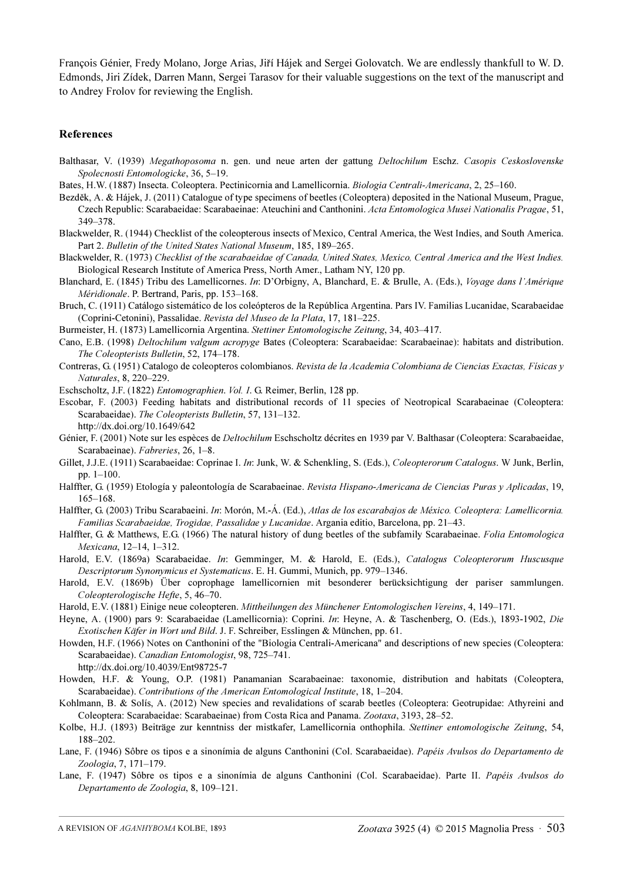François Génier, Fredy Molano, Jorge Arias, Jiří Hájek and Sergei Golovatch. We are endlessly thankfull to W. D. Edmonds, Jiri Zídek, Darren Mann, Sergei Tarasov for their valuable suggestions on the text of the manuscript and to Andrey Frolov for reviewing the English.

#### <span id="page-2-0"></span>References

- Balthasar, V. (1939) Megathoposoma n. gen. und neue arten der gattung Deltochilum Eschz. Casopis Ceskoslovenske Spolecnosti Entomologicke, 36, 5–19.
- Bates, H.W. (1887) Insecta. Coleoptera. Pectinicornia and Lamellicornia. Biologia Centrali-Americana, 2, 25–160.
- Bezděk, A. & Hájek, J. (2011) Catalogue of type specimens of beetles (Coleoptera) deposited in the National Museum, Prague, Czech Republic: Scarabaeidae: Scarabaeinae: Ateuchini and Canthonini. Acta Entomologica Musei Nationalis Pragae, 51, 349–378.
- Blackwelder, R. (1944) Checklist of the coleopterous insects of Mexico, Central America, the West Indies, and South America. Part 2. Bulletin of the United States National Museum, 185, 189–265.
- Blackwelder, R. (1973) Checklist of the scarabaeidae of Canada, United States, Mexico, Central America and the West Indies. Biological Research Institute of America Press, North Amer., Latham NY, 120 pp.
- Blanchard, E. (1845) Tribu des Lamellicornes. In: D'Orbigny, A, Blanchard, E. & Brulle, A. (Eds.), Voyage dans l'Amérique Méridionale. P. Bertrand, Paris, pp. 153–168.
- Bruch, C. (1911) Catálogo sistemático de los coleópteros de la República Argentina. Pars IV. Familias Lucanidae, Scarabaeidae (Coprini-Cetonini), Passalidae. Revista del Museo de la Plata, 17, 181–225.
- Burmeister, H. (1873) Lamellicornia Argentina. Stettiner Entomologische Zeitung, 34, 403–417.
- Cano, E.B. (1998) Deltochilum valgum acropyge Bates (Coleoptera: Scarabaeidae: Scarabaeinae): habitats and distribution. The Coleopterists Bulletin, 52, 174–178.
- Contreras, G. (1951) Catalogo de coleopteros colombianos. Revista de la Academia Colombiana de Ciencias Exactas, Físicas y Naturales, 8, 220–229.
- Eschscholtz, J.F. (1822) Entomographien. Vol. I. G. Reimer, Berlin, 128 pp.
- Escobar, F. (2003) Feeding habitats and distributional records of 11 species of Neotropical Scarabaeinae (Coleoptera: Scarabaeidae). The Coleopterists Bulletin, 57, 131–132. http://dx.doi.org/10.1649/642
- Génier, F. (2001) Note sur les espèces de Deltochilum Eschscholtz décrites en 1939 par V. Balthasar (Coleoptera: Scarabaeidae, Scarabaeinae). Fabreries, 26, 1–8.
- Gillet, J.J.E. (1911) Scarabaeidae: Coprinae I. In: Junk, W. & Schenkling, S. (Eds.), Coleopterorum Catalogus. W Junk, Berlin, pp. 1–100.
- Halffter, G. (1959) Etología y paleontología de Scarabaeinae. Revista Hispano-Americana de Ciencias Puras y Aplicadas, 19, 165–168.
- Halffter, G. (2003) Tribu Scarabaeini. In: Morón, M.-Á. (Ed.), Atlas de los escarabajos de México. Coleoptera: Lamellicornia. Familias Scarabaeidae, Trogidae, Passalidae y Lucanidae. Argania editio, Barcelona, pp. 21–43.
- Halffter, G. & Matthews, E.G. (1966) The natural history of dung beetles of the subfamily Scarabaeinae. Folia Entomologica Mexicana, 12–14, 1–312.
- Harold, E.V. (1869a) Scarabaeidae. In: Gemminger, M. & Harold, E. (Eds.), Catalogus Coleopterorum Huscusque Descriptorum Synonymicus et Systematicus. E. H. Gummi, Munich, pp. 979–1346.
- Harold, E.V. (1869b) Über coprophage lamellicornien mit besonderer berücksichtigung der pariser sammlungen. Coleopterologische Hefte, 5, 46–70.
- Harold, E.V. (1881) Einige neue coleopteren. Mittheilungen des Münchener Entomologischen Vereins, 4, 149–171.
- Heyne, A. (1900) pars 9: Scarabaeidae (Lamellicornia): Coprini. In: Heyne, A. & Taschenberg, O. (Eds.), 1893-1902, Die Exotischen Käfer in Wort und Bild. J. F. Schreiber, Esslingen & München, pp. 61.
- Howden, H.F. (1966) Notes on Canthonini of the "Biologia Centrali-Americana" and descriptions of new species (Coleoptera: Scarabaeidae). Canadian Entomologist, 98, 725–741. http://dx.doi.org/10.4039/Ent98725-7
- Howden, H.F. & Young, O.P. (1981) Panamanian Scarabaeinae: taxonomie, distribution and habitats (Coleoptera, Scarabaeidae). Contributions of the American Entomological Institute, 18, 1–204.
- Kohlmann, B. & Solís, A. (2012) New species and revalidations of scarab beetles (Coleoptera: Geotrupidae: Athyreini and Coleoptera: Scarabaeidae: Scarabaeinae) from Costa Rica and Panama. Zootaxa, 3193, 28–52.
- Kolbe, H.J. (1893) Beiträge zur kenntniss der mistkafer, Lamellicornia onthophila. Stettiner entomologische Zeitung, 54, 188–202.
- Lane, F. (1946) Sôbre os tipos e a sinonímia de alguns Canthonini (Col. Scarabaeidae). Papéis Avulsos do Departamento de Zoologia, 7, 171–179.
- Lane, F. (1947) Sôbre os tipos e a sinonímia de alguns Canthonini (Col. Scarabaeidae). Parte II. Papéis Avulsos do Departamento de Zoologia, 8, 109–121.